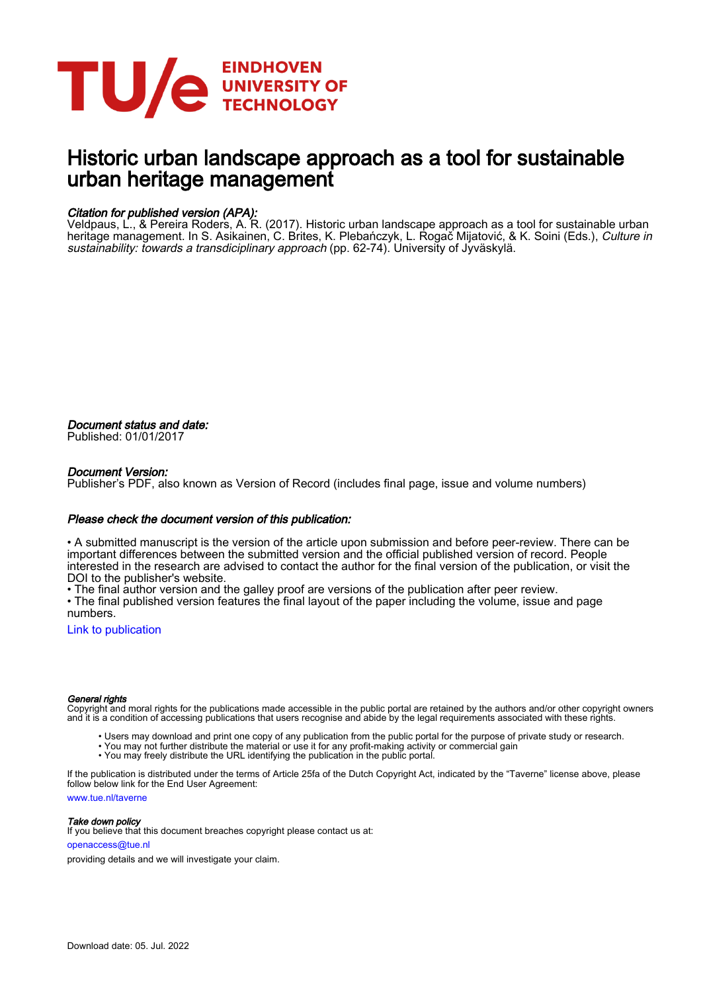

# Historic urban landscape approach as a tool for sustainable urban heritage management

# Citation for published version (APA):

Veldpaus, L., & Pereira Roders, A. R. (2017). Historic urban landscape approach as a tool for sustainable urban heritage management. In S. Asikainen, C. Brites, K. Plebańczyk, L. Rogac Mijatović, & K. Soini (Eds.), Culture in sustainability: towards a transdiciplinary approach (pp. 62-74). University of Jyväskylä.

Document status and date: Published: 01/01/2017

# Document Version:

Publisher's PDF, also known as Version of Record (includes final page, issue and volume numbers)

# Please check the document version of this publication:

• A submitted manuscript is the version of the article upon submission and before peer-review. There can be important differences between the submitted version and the official published version of record. People interested in the research are advised to contact the author for the final version of the publication, or visit the DOI to the publisher's website.

• The final author version and the galley proof are versions of the publication after peer review.

• The final published version features the final layout of the paper including the volume, issue and page numbers.

[Link to publication](https://research.tue.nl/en/publications/4faeb51a-2c81-4c39-a11e-3d1af417b3ed)

#### General rights

Copyright and moral rights for the publications made accessible in the public portal are retained by the authors and/or other copyright owners and it is a condition of accessing publications that users recognise and abide by the legal requirements associated with these rights.

- Users may download and print one copy of any publication from the public portal for the purpose of private study or research.
- You may not further distribute the material or use it for any profit-making activity or commercial gain
- You may freely distribute the URL identifying the publication in the public portal.

If the publication is distributed under the terms of Article 25fa of the Dutch Copyright Act, indicated by the "Taverne" license above, please follow below link for the End User Agreement:

www.tue.nl/taverne

**Take down policy**<br>If you believe that this document breaches copyright please contact us at:

openaccess@tue.nl

providing details and we will investigate your claim.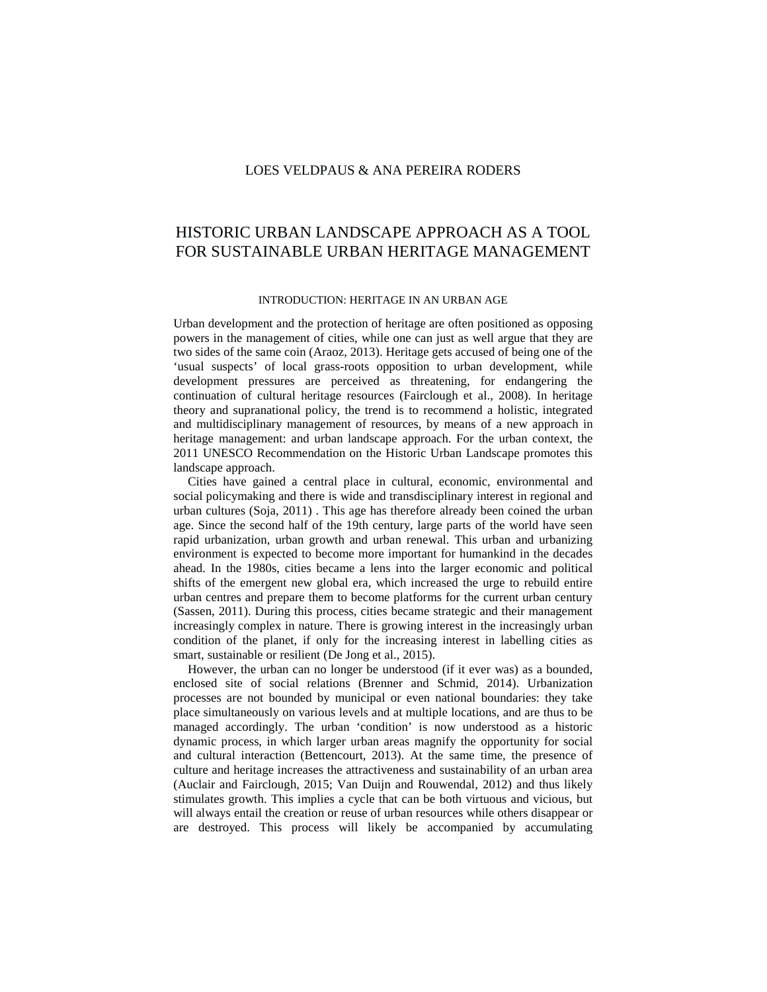# HISTORIC URBAN LANDSCAPE APPROACH AS A TOOL FOR SUSTAINABLE URBAN HERITAGE MANAGEMENT

#### INTRODUCTION: HERITAGE IN AN URBAN AGE

Urban development and the protection of heritage are often positioned as opposing powers in the management of cities, while one can just as well argue that they are two sides of the same coin (Araoz, 2013). Heritage gets accused of being one of the 'usual suspects' of local grass-roots opposition to urban development, while development pressures are perceived as threatening, for endangering the continuation of cultural heritage resources (Fairclough et al., 2008). In heritage theory and supranational policy, the trend is to recommend a holistic, integrated and multidisciplinary management of resources, by means of a new approach in heritage management: and urban landscape approach. For the urban context, the 2011 UNESCO Recommendation on the Historic Urban Landscape promotes this landscape approach.

Cities have gained a central place in cultural, economic, environmental and social policymaking and there is wide and transdisciplinary interest in regional and urban cultures (Soja, 2011) . This age has therefore already been coined the urban age. Since the second half of the 19th century, large parts of the world have seen rapid urbanization, urban growth and urban renewal. This urban and urbanizing environment is expected to become more important for humankind in the decades ahead. In the 1980s, cities became a lens into the larger economic and political shifts of the emergent new global era, which increased the urge to rebuild entire urban centres and prepare them to become platforms for the current urban century (Sassen, 2011). During this process, cities became strategic and their management increasingly complex in nature. There is growing interest in the increasingly urban condition of the planet, if only for the increasing interest in labelling cities as smart, sustainable or resilient (De Jong et al., 2015).

However, the urban can no longer be understood (if it ever was) as a bounded, enclosed site of social relations (Brenner and Schmid, 2014). Urbanization processes are not bounded by municipal or even national boundaries: they take place simultaneously on various levels and at multiple locations, and are thus to be managed accordingly. The urban 'condition' is now understood as a historic dynamic process, in which larger urban areas magnify the opportunity for social and cultural interaction (Bettencourt, 2013). At the same time, the presence of culture and heritage increases the attractiveness and sustainability of an urban area (Auclair and Fairclough, 2015; Van Duijn and Rouwendal, 2012) and thus likely stimulates growth. This implies a cycle that can be both virtuous and vicious, but will always entail the creation or reuse of urban resources while others disappear or are destroyed. This process will likely be accompanied by accumulating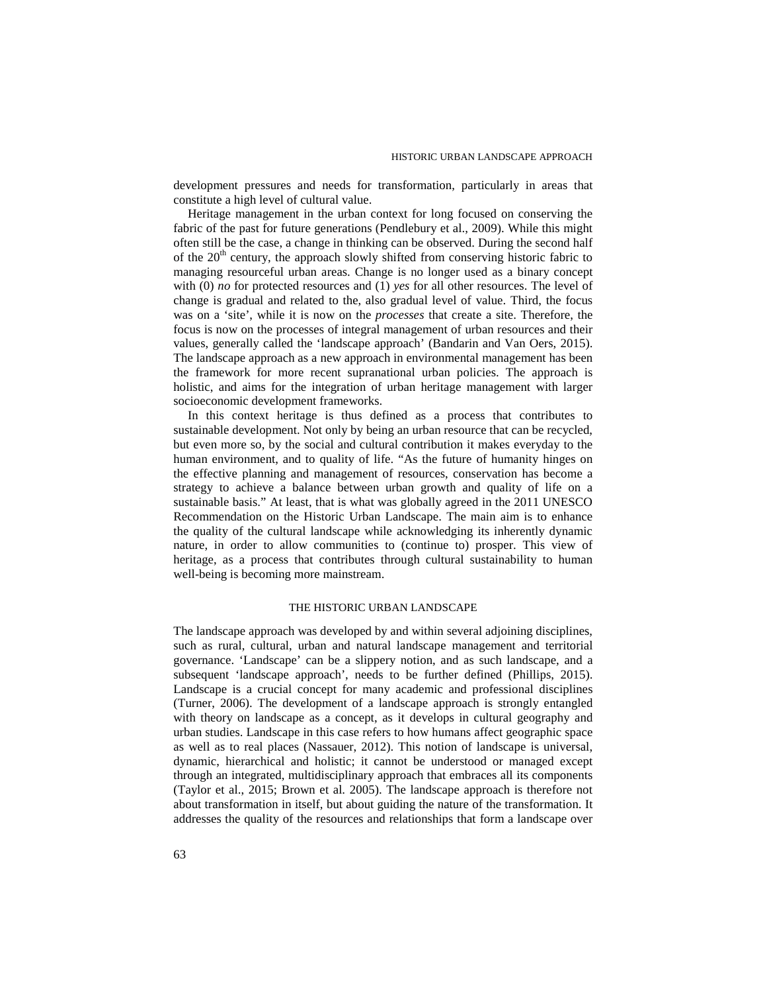development pressures and needs for transformation, particularly in areas that constitute a high level of cultural value.

Heritage management in the urban context for long focused on conserving the fabric of the past for future generations (Pendlebury et al., 2009). While this might often still be the case, a change in thinking can be observed. During the second half of the  $20<sup>th</sup>$  century, the approach slowly shifted from conserving historic fabric to managing resourceful urban areas. Change is no longer used as a binary concept with (0) *no* for protected resources and (1) *yes* for all other resources. The level of change is gradual and related to the, also gradual level of value. Third, the focus was on a 'site', while it is now on the *processes* that create a site. Therefore, the focus is now on the processes of integral management of urban resources and their values, generally called the 'landscape approach' (Bandarin and Van Oers, 2015). The landscape approach as a new approach in environmental management has been the framework for more recent supranational urban policies. The approach is holistic, and aims for the integration of urban heritage management with larger socioeconomic development frameworks.

In this context heritage is thus defined as a process that contributes to sustainable development. Not only by being an urban resource that can be recycled, but even more so, by the social and cultural contribution it makes everyday to the human environment, and to quality of life. "As the future of humanity hinges on the effective planning and management of resources, conservation has become a strategy to achieve a balance between urban growth and quality of life on a sustainable basis." At least, that is what was globally agreed in the 2011 UNESCO Recommendation on the Historic Urban Landscape. The main aim is to enhance the quality of the cultural landscape while acknowledging its inherently dynamic nature, in order to allow communities to (continue to) prosper. This view of heritage, as a process that contributes through cultural sustainability to human well-being is becoming more mainstream.

#### THE HISTORIC URBAN LANDSCAPE

The landscape approach was developed by and within several adjoining disciplines, such as rural, cultural, urban and natural landscape management and territorial governance. 'Landscape' can be a slippery notion, and as such landscape, and a subsequent 'landscape approach', needs to be further defined (Phillips, 2015). Landscape is a crucial concept for many academic and professional disciplines (Turner, 2006). The development of a landscape approach is strongly entangled with theory on landscape as a concept, as it develops in cultural geography and urban studies. Landscape in this case refers to how humans affect geographic space as well as to real places (Nassauer, 2012). This notion of landscape is universal, dynamic, hierarchical and holistic; it cannot be understood or managed except through an integrated, multidisciplinary approach that embraces all its components (Taylor et al., 2015; Brown et al. 2005). The landscape approach is therefore not about transformation in itself, but about guiding the nature of the transformation. It addresses the quality of the resources and relationships that form a landscape over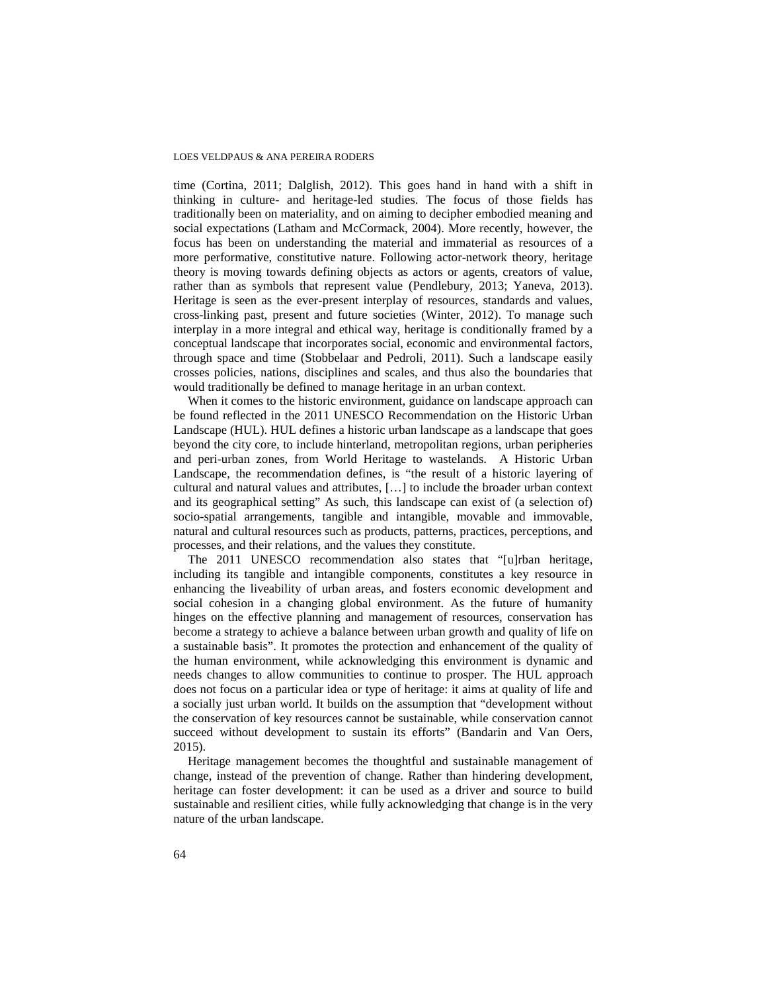time (Cortina, 2011; Dalglish, 2012). This goes hand in hand with a shift in thinking in culture- and heritage-led studies. The focus of those fields has traditionally been on materiality, and on aiming to decipher embodied meaning and social expectations (Latham and McCormack, 2004). More recently, however, the focus has been on understanding the material and immaterial as resources of a more performative, constitutive nature. Following actor-network theory, heritage theory is moving towards defining objects as actors or agents, creators of value, rather than as symbols that represent value (Pendlebury, 2013; Yaneva, 2013). Heritage is seen as the ever-present interplay of resources, standards and values, cross-linking past, present and future societies (Winter, 2012). To manage such interplay in a more integral and ethical way, heritage is conditionally framed by a conceptual landscape that incorporates social, economic and environmental factors, through space and time (Stobbelaar and Pedroli, 2011). Such a landscape easily crosses policies, nations, disciplines and scales, and thus also the boundaries that would traditionally be defined to manage heritage in an urban context.

When it comes to the historic environment, guidance on landscape approach can be found reflected in the 2011 UNESCO Recommendation on the Historic Urban Landscape (HUL). HUL defines a historic urban landscape as a landscape that goes beyond the city core, to include hinterland, metropolitan regions, urban peripheries and peri-urban zones, from World Heritage to wastelands. A Historic Urban Landscape, the recommendation defines, is "the result of a historic layering of cultural and natural values and attributes, […] to include the broader urban context and its geographical setting" As such, this landscape can exist of (a selection of) socio-spatial arrangements, tangible and intangible, movable and immovable, natural and cultural resources such as products, patterns, practices, perceptions, and processes, and their relations, and the values they constitute.

The 2011 UNESCO recommendation also states that "[u]rban heritage, including its tangible and intangible components, constitutes a key resource in enhancing the liveability of urban areas, and fosters economic development and social cohesion in a changing global environment. As the future of humanity hinges on the effective planning and management of resources, conservation has become a strategy to achieve a balance between urban growth and quality of life on a sustainable basis". It promotes the protection and enhancement of the quality of the human environment, while acknowledging this environment is dynamic and needs changes to allow communities to continue to prosper. The HUL approach does not focus on a particular idea or type of heritage: it aims at quality of life and a socially just urban world. It builds on the assumption that "development without the conservation of key resources cannot be sustainable, while conservation cannot succeed without development to sustain its efforts" (Bandarin and Van Oers, 2015).

Heritage management becomes the thoughtful and sustainable management of change, instead of the prevention of change. Rather than hindering development, heritage can foster development: it can be used as a driver and source to build sustainable and resilient cities, while fully acknowledging that change is in the very nature of the urban landscape.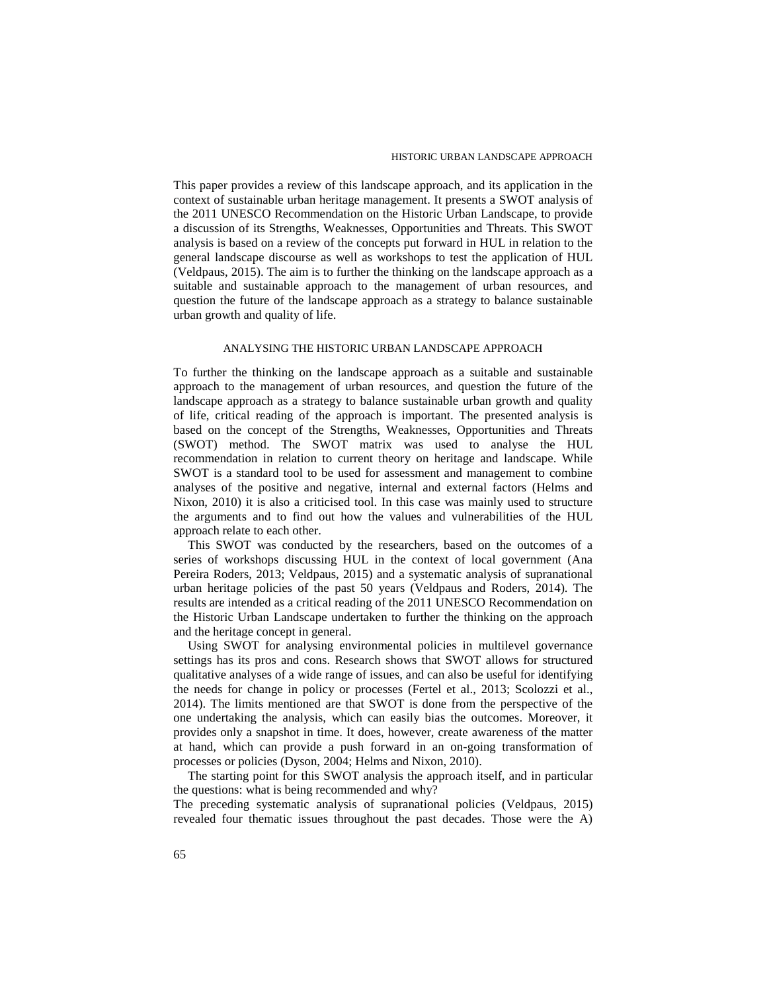This paper provides a review of this landscape approach, and its application in the context of sustainable urban heritage management. It presents a SWOT analysis of the 2011 UNESCO Recommendation on the Historic Urban Landscape, to provide a discussion of its Strengths, Weaknesses, Opportunities and Threats. This SWOT analysis is based on a review of the concepts put forward in HUL in relation to the general landscape discourse as well as workshops to test the application of HUL (Veldpaus, 2015). The aim is to further the thinking on the landscape approach as a suitable and sustainable approach to the management of urban resources, and question the future of the landscape approach as a strategy to balance sustainable urban growth and quality of life.

#### ANALYSING THE HISTORIC URBAN LANDSCAPE APPROACH

To further the thinking on the landscape approach as a suitable and sustainable approach to the management of urban resources, and question the future of the landscape approach as a strategy to balance sustainable urban growth and quality of life, critical reading of the approach is important. The presented analysis is based on the concept of the Strengths, Weaknesses, Opportunities and Threats (SWOT) method. The SWOT matrix was used to analyse the HUL recommendation in relation to current theory on heritage and landscape. While SWOT is a standard tool to be used for assessment and management to combine analyses of the positive and negative, internal and external factors (Helms and Nixon, 2010) it is also a criticised tool. In this case was mainly used to structure the arguments and to find out how the values and vulnerabilities of the HUL approach relate to each other.

This SWOT was conducted by the researchers, based on the outcomes of a series of workshops discussing HUL in the context of local government (Ana Pereira Roders, 2013; Veldpaus, 2015) and a systematic analysis of supranational urban heritage policies of the past 50 years (Veldpaus and Roders, 2014). The results are intended as a critical reading of the 2011 UNESCO Recommendation on the Historic Urban Landscape undertaken to further the thinking on the approach and the heritage concept in general.

Using SWOT for analysing environmental policies in multilevel governance settings has its pros and cons. Research shows that SWOT allows for structured qualitative analyses of a wide range of issues, and can also be useful for identifying the needs for change in policy or processes (Fertel et al., 2013; Scolozzi et al., 2014). The limits mentioned are that SWOT is done from the perspective of the one undertaking the analysis, which can easily bias the outcomes. Moreover, it provides only a snapshot in time. It does, however, create awareness of the matter at hand, which can provide a push forward in an on-going transformation of processes or policies (Dyson, 2004; Helms and Nixon, 2010).

The starting point for this SWOT analysis the approach itself, and in particular the questions: what is being recommended and why?

The preceding systematic analysis of supranational policies (Veldpaus, 2015) revealed four thematic issues throughout the past decades. Those were the A)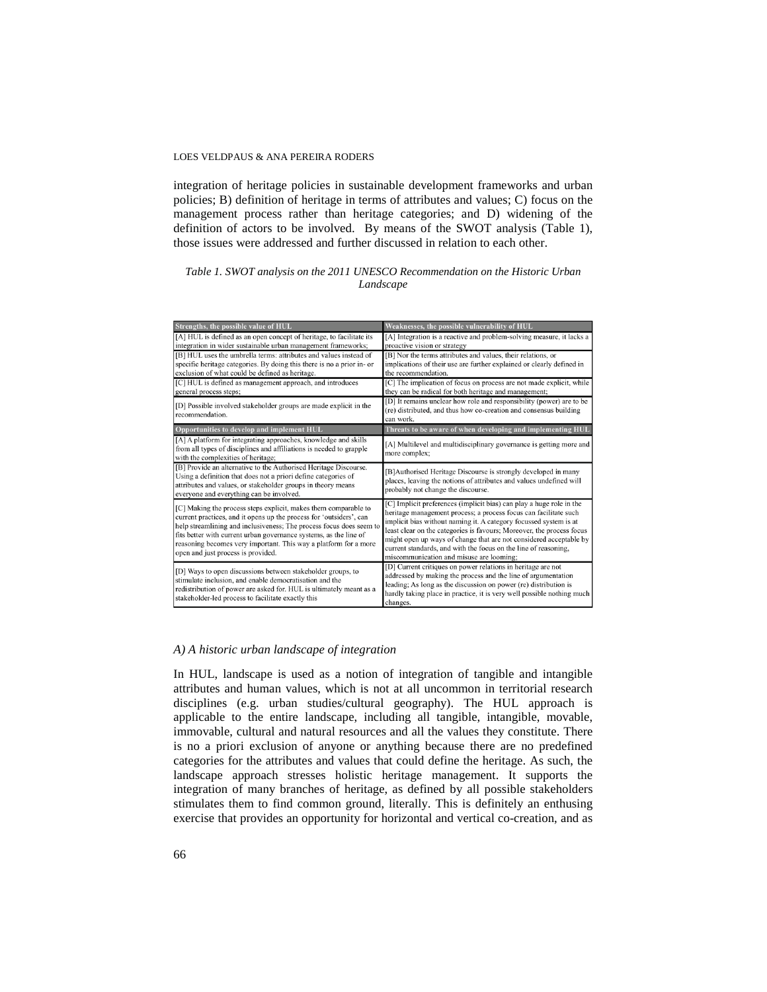integration of heritage policies in sustainable development frameworks and urban policies; B) definition of heritage in terms of attributes and values; C) focus on the management process rather than heritage categories; and D) widening of the definition of actors to be involved. By means of the SWOT analysis (Table 1), those issues were addressed and further discussed in relation to each other.

## *Table 1. SWOT analysis on the 2011 UNESCO Recommendation on the Historic Urban Landscape*

| Strengths, the possible value of HUL                                                                                   | Weaknesses, the possible vulnerability of HUL                                                            |
|------------------------------------------------------------------------------------------------------------------------|----------------------------------------------------------------------------------------------------------|
| [A] HUL is defined as an open concept of heritage, to facilitate its                                                   | [A] Integration is a reactive and problem-solving measure, it lacks a                                    |
| integration in wider sustainable urban management frameworks;                                                          | proactive vision or strategy                                                                             |
| [B] HUL uses the umbrella terms: attributes and values instead of                                                      | [B] Nor the terms attributes and values, their relations, or                                             |
| specific heritage categories. By doing this there is no a prior in- or                                                 | implications of their use are further explained or clearly defined in                                    |
| exclusion of what could be defined as heritage.                                                                        | the recommendation.                                                                                      |
| [C] HUL is defined as management approach, and introduces                                                              | [C] The implication of focus on process are not made explicit, while                                     |
| general process steps;                                                                                                 | they can be radical for both heritage and management;                                                    |
| [D] Possible involved stakeholder groups are made explicit in the                                                      | [D] It remains unclear how role and responsibility (power) are to be                                     |
| recommendation.                                                                                                        | (re) distributed, and thus how co-creation and consensus building                                        |
|                                                                                                                        | can work.                                                                                                |
| Opportunities to develop and implement HUL                                                                             | Threats to be aware of when developing and implementing HUL                                              |
| [A] A platform for integrating approaches, knowledge and skills                                                        | [A] Multilevel and multidisciplinary governance is getting more and                                      |
| from all types of disciplines and affiliations is needed to grapple                                                    | more complex;                                                                                            |
| with the complexities of heritage;                                                                                     |                                                                                                          |
| [B] Provide an alternative to the Authorised Heritage Discourse.                                                       | [B]Authorised Heritage Discourse is strongly developed in many                                           |
| Using a definition that does not a priori define categories of                                                         | places, leaving the notions of attributes and values undefined will                                      |
| attributes and values, or stakeholder groups in theory means                                                           | probably not change the discourse.                                                                       |
| everyone and everything can be involved.                                                                               |                                                                                                          |
| [C] Making the process steps explicit, makes them comparable to                                                        | [C] Implicit preferences (implicit bias) can play a huge role in the                                     |
| current practices, and it opens up the process for 'outsiders', can                                                    | heritage management process; a process focus can facilitate such                                         |
| help streamlining and inclusiveness; The process focus does seem to                                                    | implicit bias without naming it. A category focussed system is at                                        |
| fits better with current urban governance systems, as the line of                                                      | least clear on the categories is favours; Moreover, the process focus                                    |
| reasoning becomes very important. This way a platform for a more                                                       | might open up ways of change that are not considered acceptable by                                       |
| open and just process is provided.                                                                                     | current standards, and with the focus on the line of reasoning,                                          |
|                                                                                                                        | miscommunication and misuse are looming;<br>[D] Current critiques on power relations in heritage are not |
| [D] Ways to open discussions between stakeholder groups, to<br>stimulate inclusion, and enable democratisation and the | addressed by making the process and the line of argumentation                                            |
|                                                                                                                        | leading; As long as the discussion on power (re) distribution is                                         |
| redistribution of power are asked for. HUL is ultimately meant as a                                                    | hardly taking place in practice, it is very well possible nothing much                                   |
| stakeholder-led process to facilitate exactly this                                                                     | changes.                                                                                                 |
|                                                                                                                        |                                                                                                          |

#### *A) A historic urban landscape of integration*

In HUL, landscape is used as a notion of integration of tangible and intangible attributes and human values, which is not at all uncommon in territorial research disciplines (e.g. urban studies/cultural geography). The HUL approach is applicable to the entire landscape, including all tangible, intangible, movable, immovable, cultural and natural resources and all the values they constitute. There is no a priori exclusion of anyone or anything because there are no predefined categories for the attributes and values that could define the heritage. As such, the landscape approach stresses holistic heritage management. It supports the integration of many branches of heritage, as defined by all possible stakeholders stimulates them to find common ground, literally. This is definitely an enthusing exercise that provides an opportunity for horizontal and vertical co-creation, and as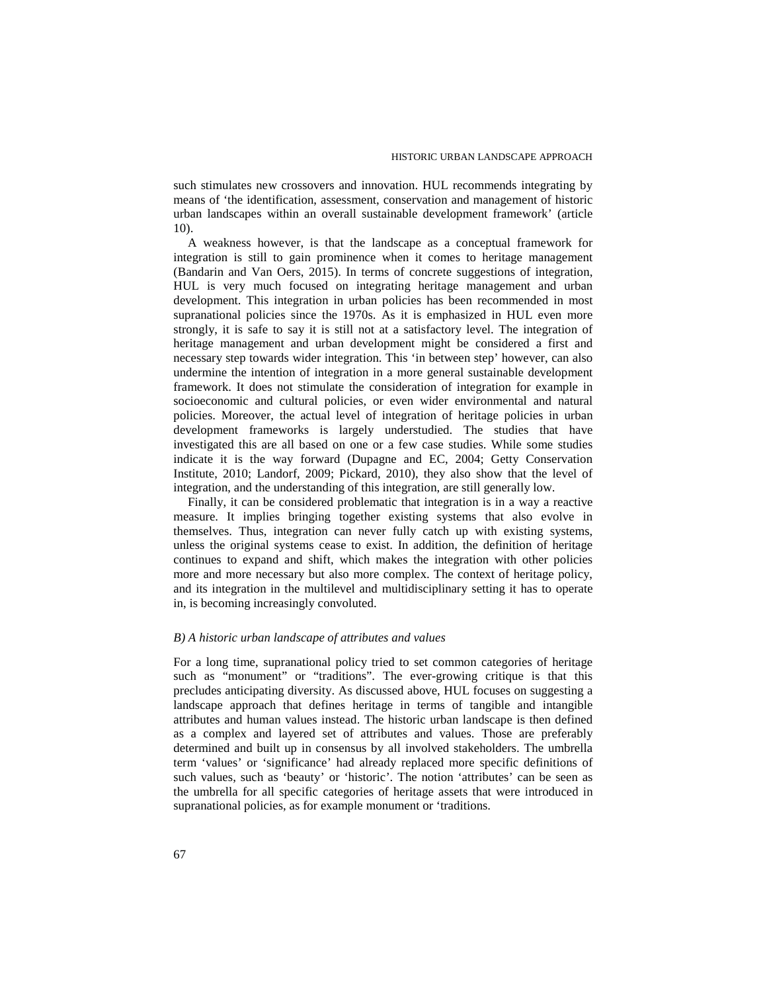such stimulates new crossovers and innovation. HUL recommends integrating by means of 'the identification, assessment, conservation and management of historic urban landscapes within an overall sustainable development framework' (article 10).

A weakness however, is that the landscape as a conceptual framework for integration is still to gain prominence when it comes to heritage management (Bandarin and Van Oers, 2015). In terms of concrete suggestions of integration, HUL is very much focused on integrating heritage management and urban development. This integration in urban policies has been recommended in most supranational policies since the 1970s. As it is emphasized in HUL even more strongly, it is safe to say it is still not at a satisfactory level. The integration of heritage management and urban development might be considered a first and necessary step towards wider integration. This 'in between step' however, can also undermine the intention of integration in a more general sustainable development framework. It does not stimulate the consideration of integration for example in socioeconomic and cultural policies, or even wider environmental and natural policies. Moreover, the actual level of integration of heritage policies in urban development frameworks is largely understudied. The studies that have investigated this are all based on one or a few case studies. While some studies indicate it is the way forward (Dupagne and EC, 2004; Getty Conservation Institute, 2010; Landorf, 2009; Pickard, 2010), they also show that the level of integration, and the understanding of this integration, are still generally low.

Finally, it can be considered problematic that integration is in a way a reactive measure. It implies bringing together existing systems that also evolve in themselves. Thus, integration can never fully catch up with existing systems, unless the original systems cease to exist. In addition, the definition of heritage continues to expand and shift, which makes the integration with other policies more and more necessary but also more complex. The context of heritage policy, and its integration in the multilevel and multidisciplinary setting it has to operate in, is becoming increasingly convoluted.

#### *B) A historic urban landscape of attributes and values*

For a long time, supranational policy tried to set common categories of heritage such as "monument" or "traditions". The ever-growing critique is that this precludes anticipating diversity. As discussed above, HUL focuses on suggesting a landscape approach that defines heritage in terms of tangible and intangible attributes and human values instead. The historic urban landscape is then defined as a complex and layered set of attributes and values. Those are preferably determined and built up in consensus by all involved stakeholders. The umbrella term 'values' or 'significance' had already replaced more specific definitions of such values, such as 'beauty' or 'historic'. The notion 'attributes' can be seen as the umbrella for all specific categories of heritage assets that were introduced in supranational policies, as for example monument or 'traditions.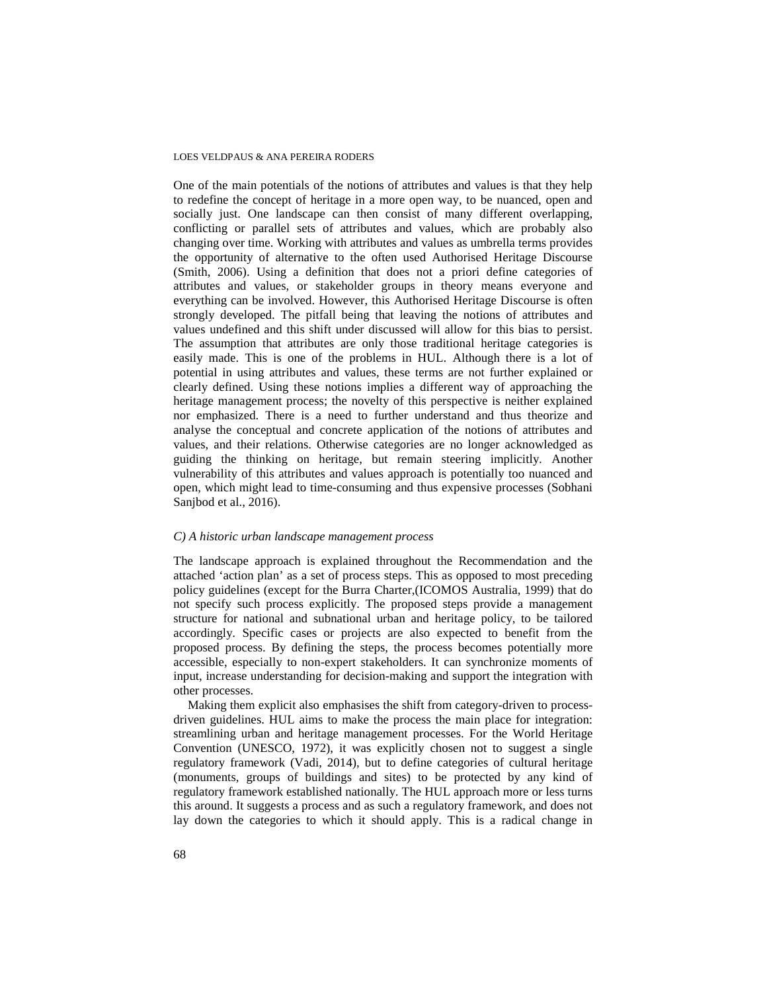One of the main potentials of the notions of attributes and values is that they help to redefine the concept of heritage in a more open way, to be nuanced, open and socially just. One landscape can then consist of many different overlapping, conflicting or parallel sets of attributes and values, which are probably also changing over time. Working with attributes and values as umbrella terms provides the opportunity of alternative to the often used Authorised Heritage Discourse (Smith, 2006). Using a definition that does not a priori define categories of attributes and values, or stakeholder groups in theory means everyone and everything can be involved. However, this Authorised Heritage Discourse is often strongly developed. The pitfall being that leaving the notions of attributes and values undefined and this shift under discussed will allow for this bias to persist. The assumption that attributes are only those traditional heritage categories is easily made. This is one of the problems in HUL. Although there is a lot of potential in using attributes and values, these terms are not further explained or clearly defined. Using these notions implies a different way of approaching the heritage management process; the novelty of this perspective is neither explained nor emphasized. There is a need to further understand and thus theorize and analyse the conceptual and concrete application of the notions of attributes and values, and their relations. Otherwise categories are no longer acknowledged as guiding the thinking on heritage, but remain steering implicitly. Another vulnerability of this attributes and values approach is potentially too nuanced and open, which might lead to time-consuming and thus expensive processes (Sobhani Sanjbod et al., 2016).

### *C) A historic urban landscape management process*

The landscape approach is explained throughout the Recommendation and the attached 'action plan' as a set of process steps. This as opposed to most preceding policy guidelines (except for the Burra Charter,(ICOMOS Australia, 1999) that do not specify such process explicitly. The proposed steps provide a management structure for national and subnational urban and heritage policy, to be tailored accordingly. Specific cases or projects are also expected to benefit from the proposed process. By defining the steps, the process becomes potentially more accessible, especially to non-expert stakeholders. It can synchronize moments of input, increase understanding for decision-making and support the integration with other processes.

Making them explicit also emphasises the shift from category-driven to processdriven guidelines. HUL aims to make the process the main place for integration: streamlining urban and heritage management processes. For the World Heritage Convention (UNESCO, 1972), it was explicitly chosen not to suggest a single regulatory framework (Vadi, 2014), but to define categories of cultural heritage (monuments, groups of buildings and sites) to be protected by any kind of regulatory framework established nationally. The HUL approach more or less turns this around. It suggests a process and as such a regulatory framework, and does not lay down the categories to which it should apply. This is a radical change in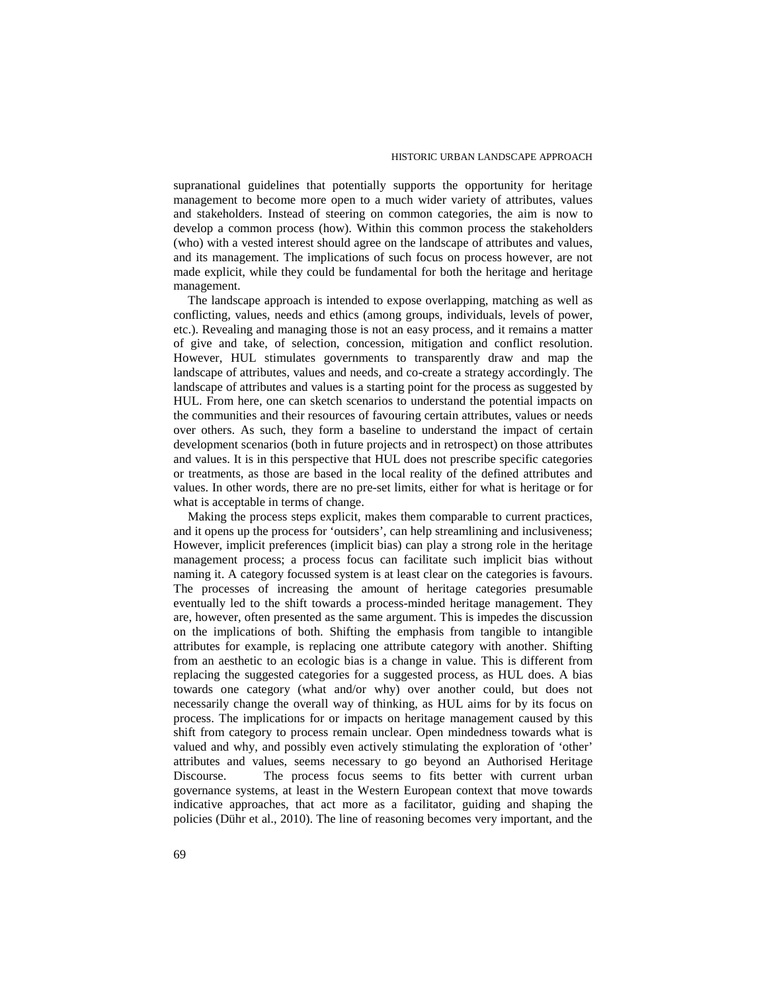supranational guidelines that potentially supports the opportunity for heritage management to become more open to a much wider variety of attributes, values and stakeholders. Instead of steering on common categories, the aim is now to develop a common process (how). Within this common process the stakeholders (who) with a vested interest should agree on the landscape of attributes and values, and its management. The implications of such focus on process however, are not made explicit, while they could be fundamental for both the heritage and heritage management.

The landscape approach is intended to expose overlapping, matching as well as conflicting, values, needs and ethics (among groups, individuals, levels of power, etc.). Revealing and managing those is not an easy process, and it remains a matter of give and take, of selection, concession, mitigation and conflict resolution. However, HUL stimulates governments to transparently draw and map the landscape of attributes, values and needs, and co-create a strategy accordingly. The landscape of attributes and values is a starting point for the process as suggested by HUL. From here, one can sketch scenarios to understand the potential impacts on the communities and their resources of favouring certain attributes, values or needs over others. As such, they form a baseline to understand the impact of certain development scenarios (both in future projects and in retrospect) on those attributes and values. It is in this perspective that HUL does not prescribe specific categories or treatments, as those are based in the local reality of the defined attributes and values. In other words, there are no pre-set limits, either for what is heritage or for what is acceptable in terms of change.

Making the process steps explicit, makes them comparable to current practices, and it opens up the process for 'outsiders', can help streamlining and inclusiveness; However, implicit preferences (implicit bias) can play a strong role in the heritage management process; a process focus can facilitate such implicit bias without naming it. A category focussed system is at least clear on the categories is favours. The processes of increasing the amount of heritage categories presumable eventually led to the shift towards a process-minded heritage management. They are, however, often presented as the same argument. This is impedes the discussion on the implications of both. Shifting the emphasis from tangible to intangible attributes for example, is replacing one attribute category with another. Shifting from an aesthetic to an ecologic bias is a change in value. This is different from replacing the suggested categories for a suggested process, as HUL does. A bias towards one category (what and/or why) over another could, but does not necessarily change the overall way of thinking, as HUL aims for by its focus on process. The implications for or impacts on heritage management caused by this shift from category to process remain unclear. Open mindedness towards what is valued and why, and possibly even actively stimulating the exploration of 'other' attributes and values, seems necessary to go beyond an Authorised Heritage Discourse. The process focus seems to fits better with current urban governance systems, at least in the Western European context that move towards indicative approaches, that act more as a facilitator, guiding and shaping the policies (Dühr et al., 2010). The line of reasoning becomes very important, and the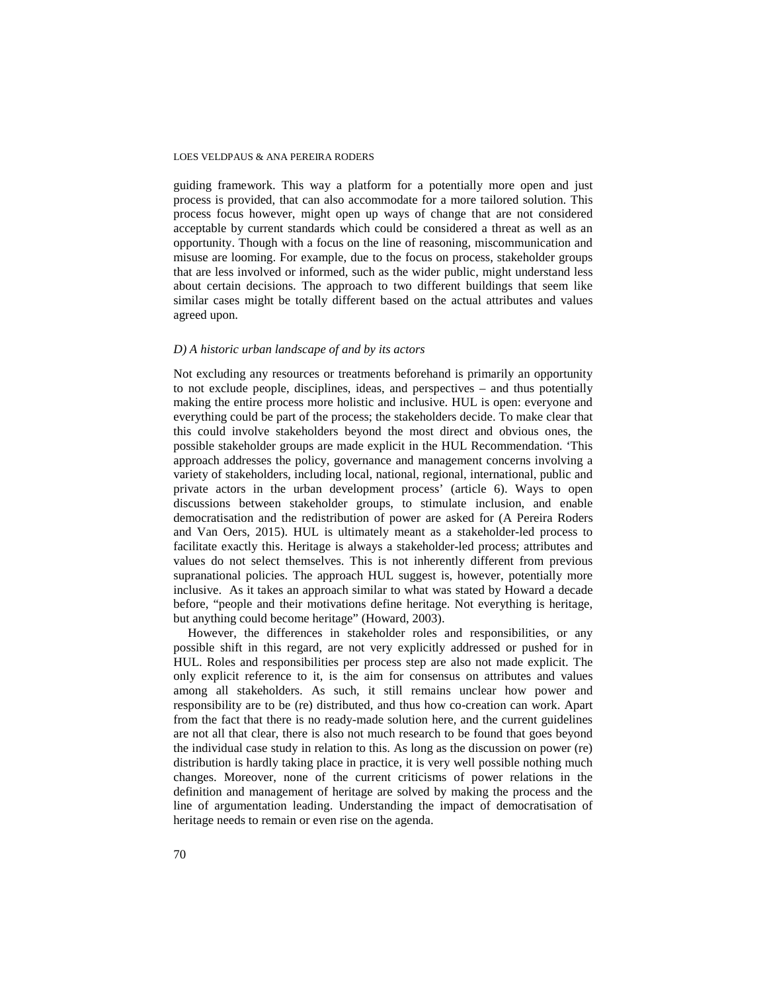guiding framework. This way a platform for a potentially more open and just process is provided, that can also accommodate for a more tailored solution. This process focus however, might open up ways of change that are not considered acceptable by current standards which could be considered a threat as well as an opportunity. Though with a focus on the line of reasoning, miscommunication and misuse are looming. For example, due to the focus on process, stakeholder groups that are less involved or informed, such as the wider public, might understand less about certain decisions. The approach to two different buildings that seem like similar cases might be totally different based on the actual attributes and values agreed upon.

# *D) A historic urban landscape of and by its actors*

Not excluding any resources or treatments beforehand is primarily an opportunity to not exclude people, disciplines, ideas, and perspectives – and thus potentially making the entire process more holistic and inclusive. HUL is open: everyone and everything could be part of the process; the stakeholders decide. To make clear that this could involve stakeholders beyond the most direct and obvious ones, the possible stakeholder groups are made explicit in the HUL Recommendation. 'This approach addresses the policy, governance and management concerns involving a variety of stakeholders, including local, national, regional, international, public and private actors in the urban development process' (article 6). Ways to open discussions between stakeholder groups, to stimulate inclusion, and enable democratisation and the redistribution of power are asked for (A Pereira Roders and Van Oers, 2015). HUL is ultimately meant as a stakeholder-led process to facilitate exactly this. Heritage is always a stakeholder-led process; attributes and values do not select themselves. This is not inherently different from previous supranational policies. The approach HUL suggest is, however, potentially more inclusive. As it takes an approach similar to what was stated by Howard a decade before, "people and their motivations define heritage. Not everything is heritage, but anything could become heritage" (Howard, 2003).

However, the differences in stakeholder roles and responsibilities, or any possible shift in this regard, are not very explicitly addressed or pushed for in HUL. Roles and responsibilities per process step are also not made explicit. The only explicit reference to it, is the aim for consensus on attributes and values among all stakeholders. As such, it still remains unclear how power and responsibility are to be (re) distributed, and thus how co-creation can work. Apart from the fact that there is no ready-made solution here, and the current guidelines are not all that clear, there is also not much research to be found that goes beyond the individual case study in relation to this. As long as the discussion on power (re) distribution is hardly taking place in practice, it is very well possible nothing much changes. Moreover, none of the current criticisms of power relations in the definition and management of heritage are solved by making the process and the line of argumentation leading. Understanding the impact of democratisation of heritage needs to remain or even rise on the agenda.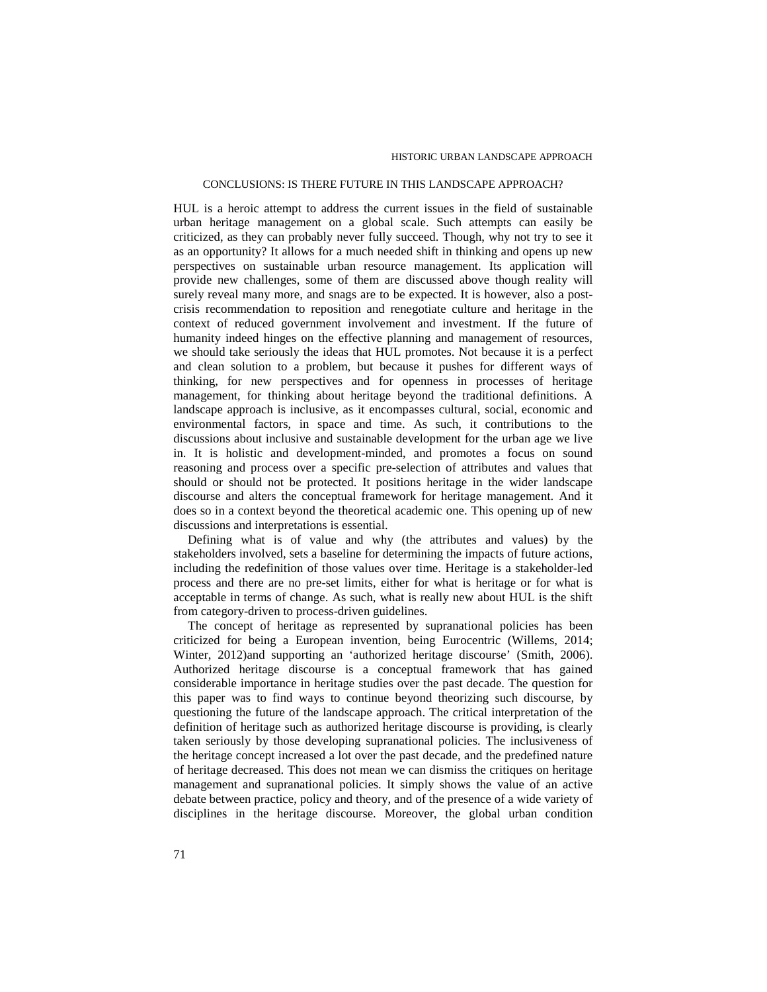#### CONCLUSIONS: IS THERE FUTURE IN THIS LANDSCAPE APPROACH?

HUL is a heroic attempt to address the current issues in the field of sustainable urban heritage management on a global scale. Such attempts can easily be criticized, as they can probably never fully succeed. Though, why not try to see it as an opportunity? It allows for a much needed shift in thinking and opens up new perspectives on sustainable urban resource management. Its application will provide new challenges, some of them are discussed above though reality will surely reveal many more, and snags are to be expected. It is however, also a postcrisis recommendation to reposition and renegotiate culture and heritage in the context of reduced government involvement and investment. If the future of humanity indeed hinges on the effective planning and management of resources, we should take seriously the ideas that HUL promotes. Not because it is a perfect and clean solution to a problem, but because it pushes for different ways of thinking, for new perspectives and for openness in processes of heritage management, for thinking about heritage beyond the traditional definitions. A landscape approach is inclusive, as it encompasses cultural, social, economic and environmental factors, in space and time. As such, it contributions to the discussions about inclusive and sustainable development for the urban age we live in. It is holistic and development-minded, and promotes a focus on sound reasoning and process over a specific pre-selection of attributes and values that should or should not be protected. It positions heritage in the wider landscape discourse and alters the conceptual framework for heritage management. And it does so in a context beyond the theoretical academic one. This opening up of new discussions and interpretations is essential.

Defining what is of value and why (the attributes and values) by the stakeholders involved, sets a baseline for determining the impacts of future actions, including the redefinition of those values over time. Heritage is a stakeholder-led process and there are no pre-set limits, either for what is heritage or for what is acceptable in terms of change. As such, what is really new about HUL is the shift from category-driven to process-driven guidelines.

The concept of heritage as represented by supranational policies has been criticized for being a European invention, being Eurocentric (Willems, 2014; Winter, 2012)and supporting an 'authorized heritage discourse' (Smith, 2006). Authorized heritage discourse is a conceptual framework that has gained considerable importance in heritage studies over the past decade. The question for this paper was to find ways to continue beyond theorizing such discourse, by questioning the future of the landscape approach. The critical interpretation of the definition of heritage such as authorized heritage discourse is providing, is clearly taken seriously by those developing supranational policies. The inclusiveness of the heritage concept increased a lot over the past decade, and the predefined nature of heritage decreased. This does not mean we can dismiss the critiques on heritage management and supranational policies. It simply shows the value of an active debate between practice, policy and theory, and of the presence of a wide variety of disciplines in the heritage discourse. Moreover, the global urban condition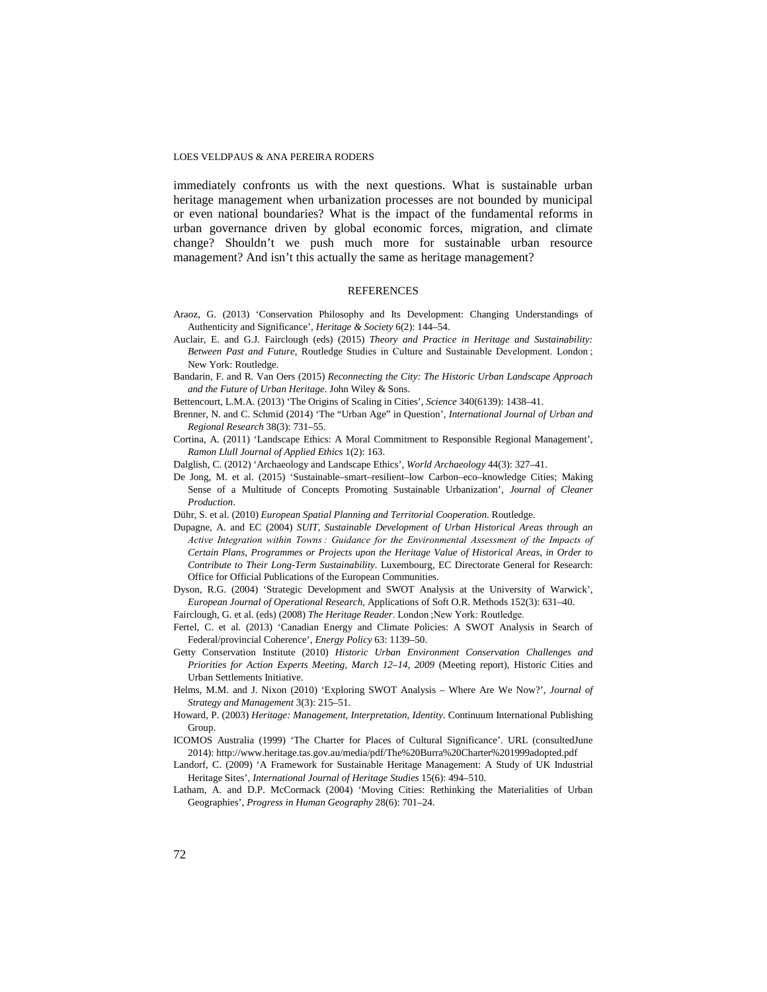immediately confronts us with the next questions. What is sustainable urban heritage management when urbanization processes are not bounded by municipal or even national boundaries? What is the impact of the fundamental reforms in urban governance driven by global economic forces, migration, and climate change? Shouldn't we push much more for sustainable urban resource management? And isn't this actually the same as heritage management?

#### REFERENCES

- Araoz, G. (2013) 'Conservation Philosophy and Its Development: Changing Understandings of Authenticity and Significance', *Heritage & Society* 6(2): 144–54.
- Auclair, E. and G.J. Fairclough (eds) (2015) *Theory and Practice in Heritage and Sustainability: Between Past and Future*, Routledge Studies in Culture and Sustainable Development. London; New York: Routledge.
- Bandarin, F. and R. Van Oers (2015) *Reconnecting the City: The Historic Urban Landscape Approach and the Future of Urban Heritage*. John Wiley & Sons.
- Bettencourt, L.M.A. (2013) 'The Origins of Scaling in Cities', *Science* 340(6139): 1438–41.
- Brenner, N. and C. Schmid (2014) 'The "Urban Age" in Question', *International Journal of Urban and Regional Research* 38(3): 731–55.
- Cortina, A. (2011) 'Landscape Ethics: A Moral Commitment to Responsible Regional Management', *Ramon Llull Journal of Applied Ethics* 1(2): 163.
- Dalglish, C. (2012) 'Archaeology and Landscape Ethics', *World Archaeology* 44(3): 327–41.
- De Jong, M. et al. (2015) 'Sustainable–smart–resilient–low Carbon–eco–knowledge Cities; Making Sense of a Multitude of Concepts Promoting Sustainable Urbanization', *Journal of Cleaner Production*.
- Dühr, S. et al. (2010) *European Spatial Planning and Territorial Cooperation*. Routledge.
- Dupagne, A. and EC (2004) *SUIT, Sustainable Development of Urban Historical Areas through an*  Active Integration within Towns: Guidance for the Environmental Assessment of the Impacts of *Certain Plans, Programmes or Projects upon the Heritage Value of Historical Areas, in Order to Contribute to Their Long-Term Sustainability*. Luxembourg, EC Directorate General for Research: Office for Official Publications of the European Communities.
- Dyson, R.G. (2004) 'Strategic Development and SWOT Analysis at the University of Warwick', *European Journal of Operational Research*, Applications of Soft O.R. Methods 152(3): 631–40. Fairclough, G. et al. (eds) (2008) *The Heritage Reader*. London ; New York: Routledge.
- Fertel, C. et al. (2013) 'Canadian Energy and Climate Policies: A SWOT Analysis in Search of Federal/provincial Coherence', *Energy Policy* 63: 1139–50.
- Getty Conservation Institute (2010) *Historic Urban Environment Conservation Challenges and Priorities for Action Experts Meeting, March 12–14, 2009* (Meeting report), Historic Cities and Urban Settlements Initiative.
- Helms, M.M. and J. Nixon (2010) 'Exploring SWOT Analysis Where Are We Now?', *Journal of Strategy and Management* 3(3): 215–51.
- Howard, P. (2003) *Heritage: Management, Interpretation, Identity*. Continuum International Publishing Group.
- ICOMOS Australia (1999) 'The Charter for Places of Cultural Significance'. URL (consultedJune 2014): http://www.heritage.tas.gov.au/media/pdf/The%20Burra%20Charter%201999adopted.pdf
- Landorf, C. (2009) 'A Framework for Sustainable Heritage Management: A Study of UK Industrial Heritage Sites', *International Journal of Heritage Studies* 15(6): 494–510.
- Latham, A. and D.P. McCormack (2004) 'Moving Cities: Rethinking the Materialities of Urban Geographies', *Progress in Human Geography* 28(6): 701–24.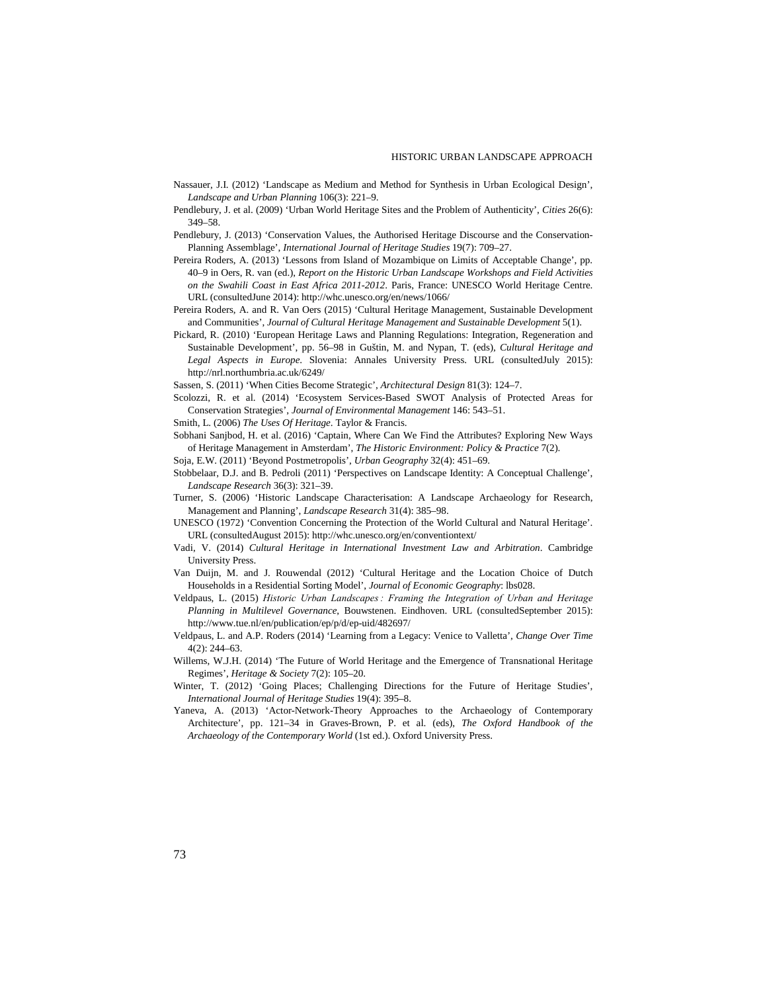- Nassauer, J.I. (2012) 'Landscape as Medium and Method for Synthesis in Urban Ecological Design', *Landscape and Urban Planning* 106(3): 221–9.
- Pendlebury, J. et al. (2009) 'Urban World Heritage Sites and the Problem of Authenticity', *Cities* 26(6): 349–58.
- Pendlebury, J. (2013) 'Conservation Values, the Authorised Heritage Discourse and the Conservation-Planning Assemblage', *International Journal of Heritage Studies* 19(7): 709–27.
- Pereira Roders, A. (2013) 'Lessons from Island of Mozambique on Limits of Acceptable Change', pp. 40–9 in Oers, R. van (ed.), *Report on the Historic Urban Landscape Workshops and Field Activities on the Swahili Coast in East Africa 2011-2012*. Paris, France: UNESCO World Heritage Centre. URL (consultedJune 2014): http://whc.unesco.org/en/news/1066/
- Pereira Roders, A. and R. Van Oers (2015) 'Cultural Heritage Management, Sustainable Development and Communities', *Journal of Cultural Heritage Management and Sustainable Development* 5(1).
- Pickard, R. (2010) 'European Heritage Laws and Planning Regulations: Integration, Regeneration and Sustainable Development', pp. 56–98 in Guštin, M. and Nypan, T. (eds), *Cultural Heritage and Legal Aspects in Europe*. Slovenia: Annales University Press. URL (consultedJuly 2015): http://nrl.northumbria.ac.uk/6249/
- Sassen, S. (2011) 'When Cities Become Strategic', *Architectural Design* 81(3): 124–7.
- Scolozzi, R. et al. (2014) 'Ecosystem Services-Based SWOT Analysis of Protected Areas for Conservation Strategies', *Journal of Environmental Management* 146: 543–51.
- Smith, L. (2006) *The Uses Of Heritage*. Taylor & Francis.
- Sobhani Sanjbod, H. et al. (2016) 'Captain, Where Can We Find the Attributes? Exploring New Ways of Heritage Management in Amsterdam', *The Historic Environment: Policy & Practice* 7(2).
- Soja, E.W. (2011) 'Beyond Postmetropolis', *Urban Geography* 32(4): 451–69.
- Stobbelaar, D.J. and B. Pedroli (2011) 'Perspectives on Landscape Identity: A Conceptual Challenge', *Landscape Research* 36(3): 321–39.
- Turner, S. (2006) 'Historic Landscape Characterisation: A Landscape Archaeology for Research, Management and Planning', *Landscape Research* 31(4): 385–98.
- UNESCO (1972) 'Convention Concerning the Protection of the World Cultural and Natural Heritage'. URL (consultedAugust 2015): http://whc.unesco.org/en/conventiontext/
- Vadi, V. (2014) *Cultural Heritage in International Investment Law and Arbitration*. Cambridge University Press.
- Van Duijn, M. and J. Rouwendal (2012) 'Cultural Heritage and the Location Choice of Dutch Households in a Residential Sorting Model', *Journal of Economic Geography*: lbs028.
- Veldpaus, L. (2015) *Historic Urban Landscapes : Framing the Integration of Urban and Heritage Planning in Multilevel Governance*, Bouwstenen. Eindhoven. URL (consultedSeptember 2015): http://www.tue.nl/en/publication/ep/p/d/ep-uid/482697/
- Veldpaus, L. and A.P. Roders (2014) 'Learning from a Legacy: Venice to Valletta', *Change Over Time* 4(2): 244–63.
- Willems, W.J.H. (2014) 'The Future of World Heritage and the Emergence of Transnational Heritage Regimes', *Heritage & Society* 7(2): 105–20.
- Winter, T. (2012) 'Going Places; Challenging Directions for the Future of Heritage Studies', *International Journal of Heritage Studies* 19(4): 395–8.
- Yaneva, A. (2013) 'Actor-Network-Theory Approaches to the Archaeology of Contemporary Architecture', pp. 121–34 in Graves-Brown, P. et al. (eds), *The Oxford Handbook of the Archaeology of the Contemporary World* (1st ed.). Oxford University Press.